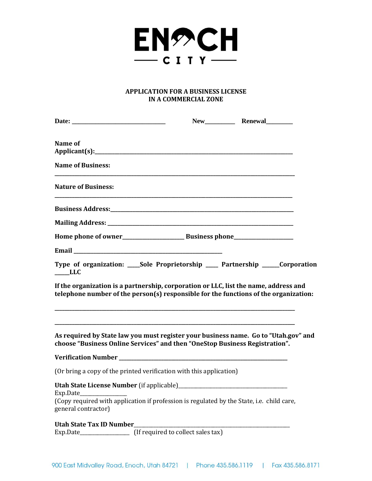

## **APPLICATION FOR A BUSINESS LICENSE IN A COMMERCIAL ZONE**

| Name of                                                                                                                                                                      |                                    |  |
|------------------------------------------------------------------------------------------------------------------------------------------------------------------------------|------------------------------------|--|
| <b>Name of Business:</b>                                                                                                                                                     |                                    |  |
| <b>Nature of Business:</b>                                                                                                                                                   |                                    |  |
|                                                                                                                                                                              |                                    |  |
|                                                                                                                                                                              |                                    |  |
|                                                                                                                                                                              |                                    |  |
|                                                                                                                                                                              |                                    |  |
| Type of organization: ____Sole Proprietorship _____ Partnership _____Corporation<br>LLC                                                                                      |                                    |  |
| If the organization is a partnership, corporation or LLC, list the name, address and<br>telephone number of the person(s) responsible for the functions of the organization: |                                    |  |
| As required by State law you must register your business name. Go to "Utah.gov" and<br>choose "Business Online Services" and then "OneStop Business Registration".           |                                    |  |
|                                                                                                                                                                              |                                    |  |
| (Or bring a copy of the printed verification with this application)                                                                                                          |                                    |  |
| Exp.Date                                                                                                                                                                     |                                    |  |
| (Copy required with application if profession is regulated by the State, i.e. child care,<br>general contractor)                                                             |                                    |  |
| Utah State Tax ID Number                                                                                                                                                     |                                    |  |
| $Exp.Date$ _________________                                                                                                                                                 | (If required to collect sales tax) |  |